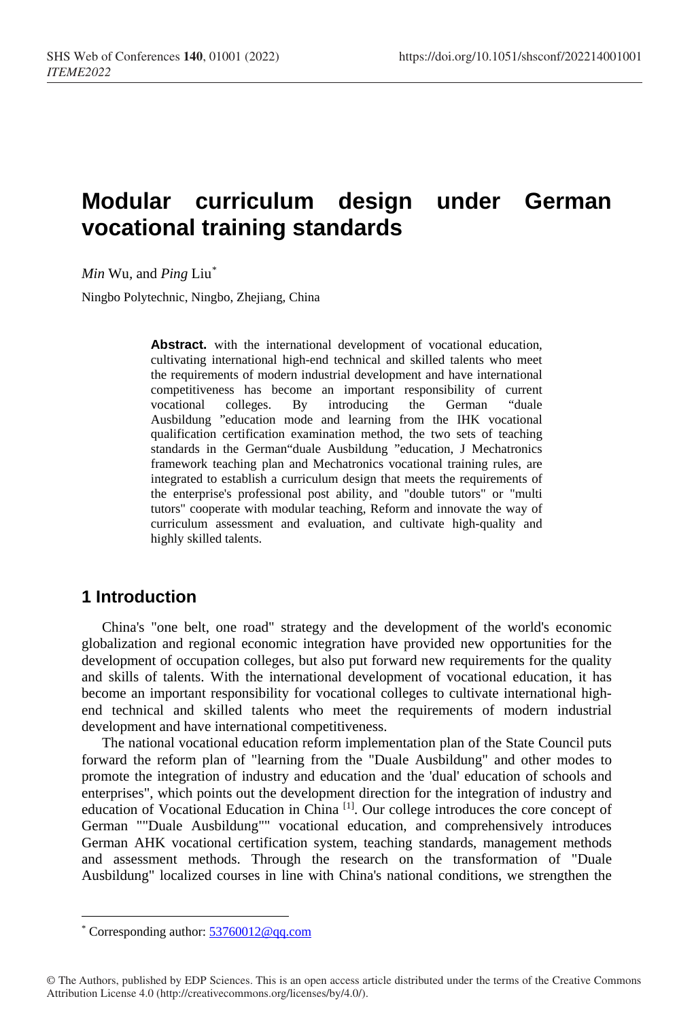# **Modular curriculum design under German vocational training standards**

*Min* Wu*,* and *Ping* Liu[\\*](#page-0-0)

Ningbo Polytechnic, Ningbo, Zhejiang, China

**Abstract.** with the international development of vocational education, cultivating international high-end technical and skilled talents who meet the requirements of modern industrial development and have international competitiveness has become an important responsibility of current vocational colleges. By introducing the German "duale Ausbildung "education mode and learning from the IHK vocational qualification certification examination method, the two sets of teaching standards in the German"duale Ausbildung "education, J Mechatronics framework teaching plan and Mechatronics vocational training rules, are integrated to establish a curriculum design that meets the requirements of the enterprise's professional post ability, and "double tutors" or "multi tutors" cooperate with modular teaching, Reform and innovate the way of curriculum assessment and evaluation, and cultivate high-quality and highly skilled talents.

## **1 Introduction**

China's "one belt, one road" strategy and the development of the world's economic globalization and regional economic integration have provided new opportunities for the development of occupation colleges, but also put forward new requirements for the quality and skills of talents. With the international development of vocational education, it has become an important responsibility for vocational colleges to cultivate international highend technical and skilled talents who meet the requirements of modern industrial development and have international competitiveness.

The national vocational education reform implementation plan of the State Council puts forward the reform plan of "learning from the "Duale Ausbildung" and other modes to promote the integration of industry and education and the 'dual' education of schools and enterprises", which points out the development direction for the integration of industry and education of Vocational Education in China [1]. Our college introduces the core concept of German ""Duale Ausbildung"" vocational education, and comprehensively introduces German AHK vocational certification system, teaching standards, management methods and assessment methods. Through the research on the transformation of "Duale Ausbildung" localized courses in line with China's national conditions, we strengthen the

<span id="page-0-0"></span> <sup>\*</sup> Corresponding author[: 53760012@qq.com](mailto:53760012@qq.com)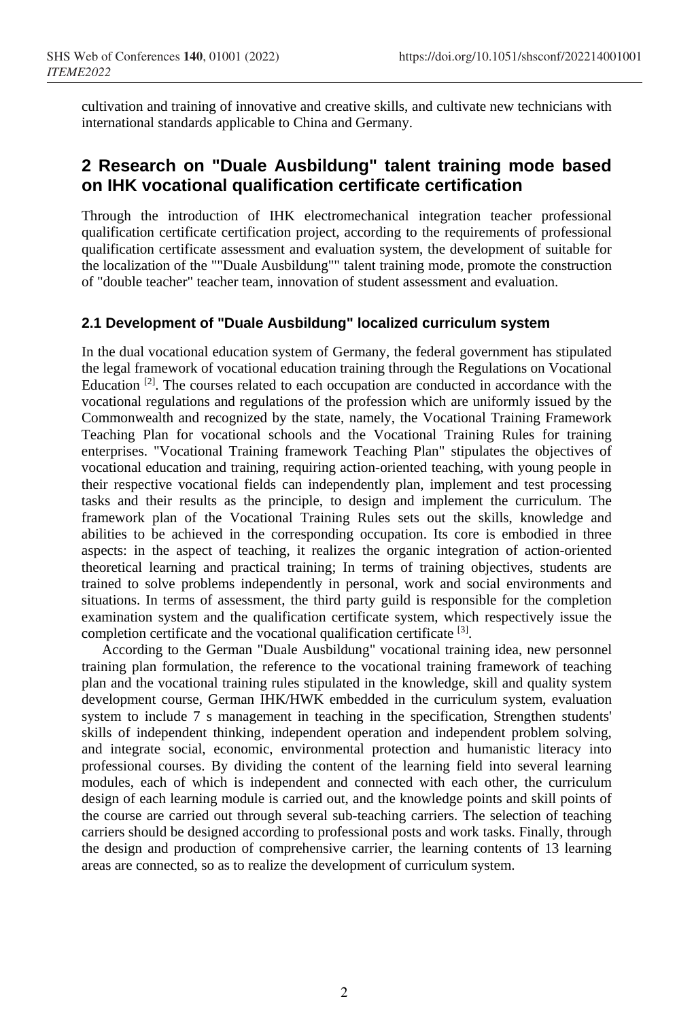cultivation and training of innovative and creative skills, and cultivate new technicians with international standards applicable to China and Germany.

### **2 Research on "Duale Ausbildung" talent training mode based on IHK vocational qualification certificate certification**

Through the introduction of IHK electromechanical integration teacher professional qualification certificate certification project, according to the requirements of professional qualification certificate assessment and evaluation system, the development of suitable for the localization of the ""Duale Ausbildung"" talent training mode, promote the construction of "double teacher" teacher team, innovation of student assessment and evaluation.

#### **2.1 Development of "Duale Ausbildung" localized curriculum system**

In the dual vocational education system of Germany, the federal government has stipulated the legal framework of vocational education training through the Regulations on Vocational Education [2]. The courses related to each occupation are conducted in accordance with the vocational regulations and regulations of the profession which are uniformly issued by the Commonwealth and recognized by the state, namely, the Vocational Training Framework Teaching Plan for vocational schools and the Vocational Training Rules for training enterprises. "Vocational Training framework Teaching Plan" stipulates the objectives of vocational education and training, requiring action-oriented teaching, with young people in their respective vocational fields can independently plan, implement and test processing tasks and their results as the principle, to design and implement the curriculum. The framework plan of the Vocational Training Rules sets out the skills, knowledge and abilities to be achieved in the corresponding occupation. Its core is embodied in three aspects: in the aspect of teaching, it realizes the organic integration of action-oriented theoretical learning and practical training; In terms of training objectives, students are trained to solve problems independently in personal, work and social environments and situations. In terms of assessment, the third party guild is responsible for the completion examination system and the qualification certificate system, which respectively issue the completion certificate and the vocational qualification certificate [3].

According to the German "Duale Ausbildung" vocational training idea, new personnel training plan formulation, the reference to the vocational training framework of teaching plan and the vocational training rules stipulated in the knowledge, skill and quality system development course, German IHK/HWK embedded in the curriculum system, evaluation system to include 7 s management in teaching in the specification, Strengthen students' skills of independent thinking, independent operation and independent problem solving, and integrate social, economic, environmental protection and humanistic literacy into professional courses. By dividing the content of the learning field into several learning modules, each of which is independent and connected with each other, the curriculum design of each learning module is carried out, and the knowledge points and skill points of the course are carried out through several sub-teaching carriers. The selection of teaching carriers should be designed according to professional posts and work tasks. Finally, through the design and production of comprehensive carrier, the learning contents of 13 learning areas are connected, so as to realize the development of curriculum system.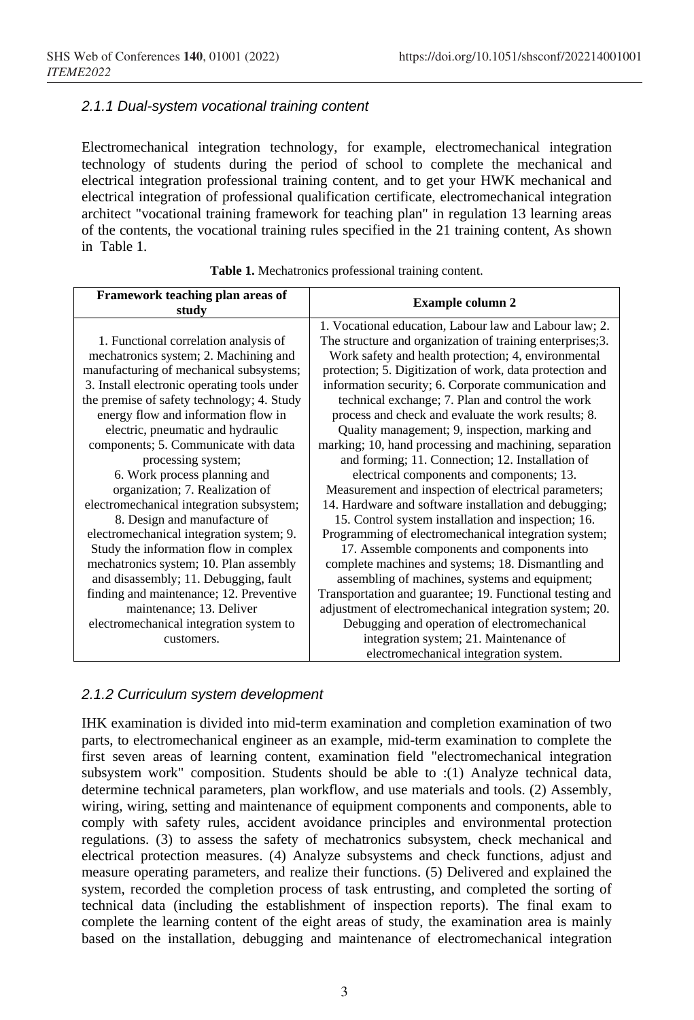#### *2.1.1 Dual-system vocational training content*

Electromechanical integration technology, for example, electromechanical integration technology of students during the period of school to complete the mechanical and electrical integration professional training content, and to get your HWK mechanical and electrical integration of professional qualification certificate, electromechanical integration architect "vocational training framework for teaching plan" in regulation 13 learning areas of the contents, the vocational training rules specified in the 21 training content, As shown in Table 1.

| Framework teaching plan areas of            | <b>Example column 2</b>                                    |  |
|---------------------------------------------|------------------------------------------------------------|--|
| study                                       |                                                            |  |
|                                             | 1. Vocational education, Labour law and Labour law; 2.     |  |
| 1. Functional correlation analysis of       | The structure and organization of training enterprises; 3. |  |
| mechatronics system; 2. Machining and       | Work safety and health protection; 4, environmental        |  |
| manufacturing of mechanical subsystems;     | protection; 5. Digitization of work, data protection and   |  |
| 3. Install electronic operating tools under | information security; 6. Corporate communication and       |  |
| the premise of safety technology; 4. Study  | technical exchange; 7. Plan and control the work           |  |
| energy flow and information flow in         | process and check and evaluate the work results; 8.        |  |
| electric, pneumatic and hydraulic           | Quality management; 9, inspection, marking and             |  |
| components; 5. Communicate with data        | marking; 10, hand processing and machining, separation     |  |
| processing system;                          | and forming; 11. Connection; 12. Installation of           |  |
| 6. Work process planning and                | electrical components and components; 13.                  |  |
| organization; 7. Realization of             | Measurement and inspection of electrical parameters;       |  |
| electromechanical integration subsystem;    | 14. Hardware and software installation and debugging;      |  |
| 8. Design and manufacture of                | 15. Control system installation and inspection; 16.        |  |
| electromechanical integration system; 9.    | Programming of electromechanical integration system;       |  |
| Study the information flow in complex       | 17. Assemble components and components into                |  |
| mechatronics system; 10. Plan assembly      | complete machines and systems; 18. Dismantling and         |  |
| and disassembly; 11. Debugging, fault       | assembling of machines, systems and equipment;             |  |
| finding and maintenance; 12. Preventive     | Transportation and guarantee; 19. Functional testing and   |  |
| maintenance; 13. Deliver                    | adjustment of electromechanical integration system; 20.    |  |
| electromechanical integration system to     | Debugging and operation of electromechanical               |  |
| customers.                                  | integration system; 21. Maintenance of                     |  |
|                                             | electromechanical integration system.                      |  |

| Table 1. Mechatronics professional training content. |  |  |  |
|------------------------------------------------------|--|--|--|
|------------------------------------------------------|--|--|--|

#### *2.1.2 Curriculum system development*

IHK examination is divided into mid-term examination and completion examination of two parts, to electromechanical engineer as an example, mid-term examination to complete the first seven areas of learning content, examination field "electromechanical integration subsystem work" composition. Students should be able to :(1) Analyze technical data, determine technical parameters, plan workflow, and use materials and tools. (2) Assembly, wiring, wiring, setting and maintenance of equipment components and components, able to comply with safety rules, accident avoidance principles and environmental protection regulations. (3) to assess the safety of mechatronics subsystem, check mechanical and electrical protection measures. (4) Analyze subsystems and check functions, adjust and measure operating parameters, and realize their functions. (5) Delivered and explained the system, recorded the completion process of task entrusting, and completed the sorting of technical data (including the establishment of inspection reports). The final exam to complete the learning content of the eight areas of study, the examination area is mainly based on the installation, debugging and maintenance of electromechanical integration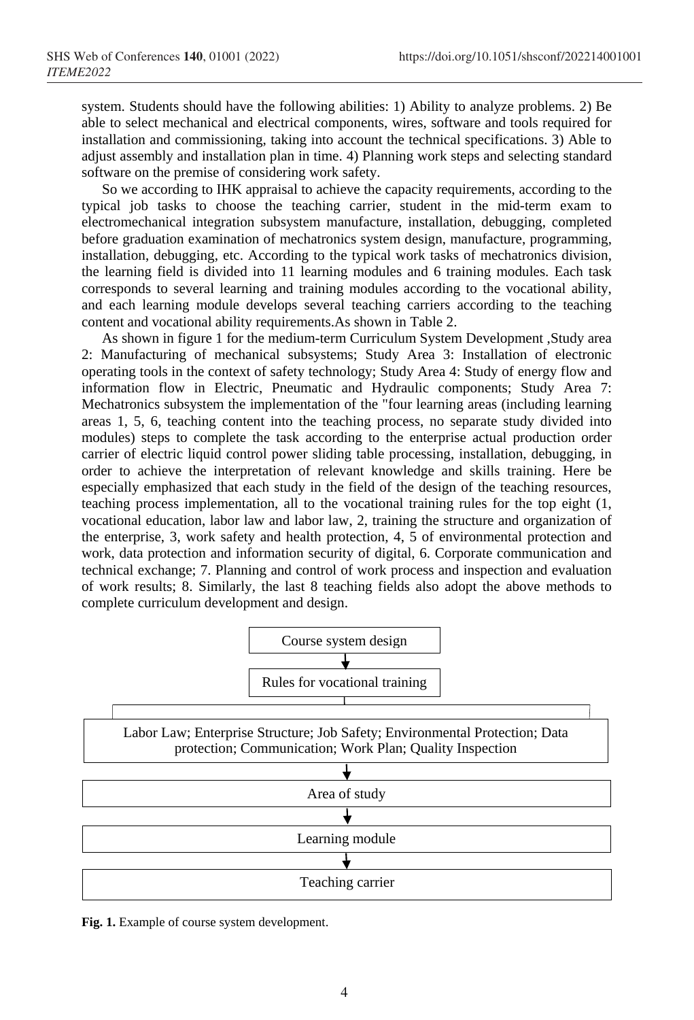system. Students should have the following abilities: 1) Ability to analyze problems. 2) Be able to select mechanical and electrical components, wires, software and tools required for installation and commissioning, taking into account the technical specifications. 3) Able to adjust assembly and installation plan in time. 4) Planning work steps and selecting standard software on the premise of considering work safety.

So we according to IHK appraisal to achieve the capacity requirements, according to the typical job tasks to choose the teaching carrier, student in the mid-term exam to electromechanical integration subsystem manufacture, installation, debugging, completed before graduation examination of mechatronics system design, manufacture, programming, installation, debugging, etc. According to the typical work tasks of mechatronics division, the learning field is divided into 11 learning modules and 6 training modules. Each task corresponds to several learning and training modules according to the vocational ability, and each learning module develops several teaching carriers according to the teaching content and vocational ability requirements.As shown in Table 2.

As shown in figure 1 for the medium-term Curriculum System Development ,Study area 2: Manufacturing of mechanical subsystems; Study Area 3: Installation of electronic operating tools in the context of safety technology; Study Area 4: Study of energy flow and information flow in Electric, Pneumatic and Hydraulic components; Study Area 7: Mechatronics subsystem the implementation of the "four learning areas (including learning areas 1, 5, 6, teaching content into the teaching process, no separate study divided into modules) steps to complete the task according to the enterprise actual production order carrier of electric liquid control power sliding table processing, installation, debugging, in order to achieve the interpretation of relevant knowledge and skills training. Here be especially emphasized that each study in the field of the design of the teaching resources, teaching process implementation, all to the vocational training rules for the top eight (1, vocational education, labor law and labor law, 2, training the structure and organization of the enterprise, 3, work safety and health protection, 4, 5 of environmental protection and work, data protection and information security of digital, 6. Corporate communication and technical exchange; 7. Planning and control of work process and inspection and evaluation of work results; 8. Similarly, the last 8 teaching fields also adopt the above methods to complete curriculum development and design.



**Fig. 1.** Example of course system development.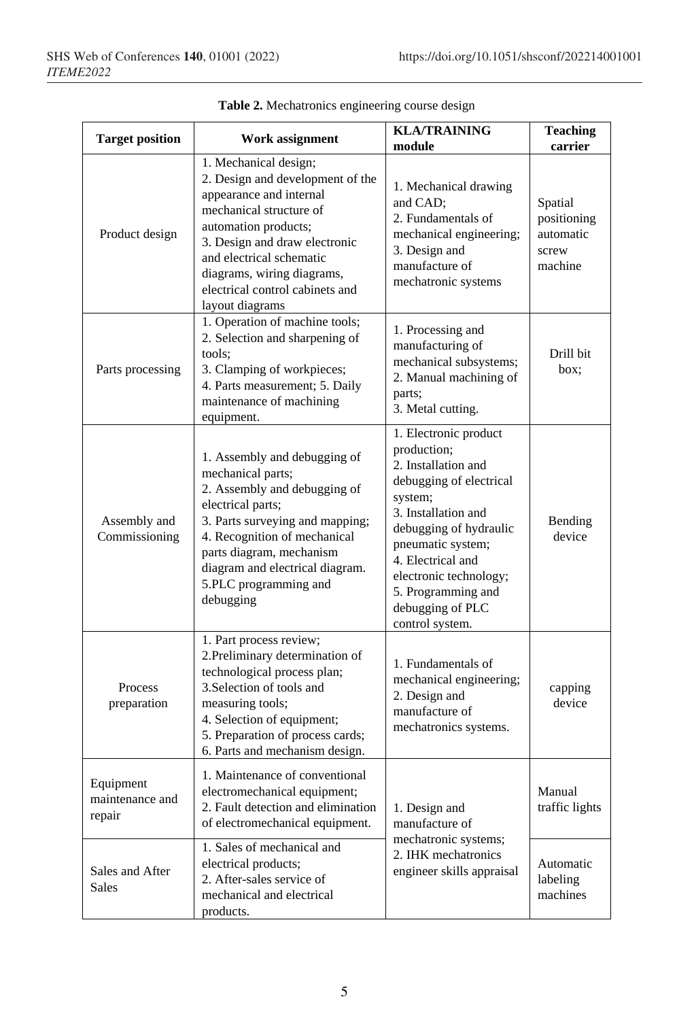| <b>Target position</b>                 | Work assignment                                                                                                                                                                                                                                                                          | <b>KLA/TRAINING</b><br>module                                                                                                                                                                                                                                                       | <b>Teaching</b><br>carrier                              |
|----------------------------------------|------------------------------------------------------------------------------------------------------------------------------------------------------------------------------------------------------------------------------------------------------------------------------------------|-------------------------------------------------------------------------------------------------------------------------------------------------------------------------------------------------------------------------------------------------------------------------------------|---------------------------------------------------------|
| Product design                         | 1. Mechanical design;<br>2. Design and development of the<br>appearance and internal<br>mechanical structure of<br>automation products;<br>3. Design and draw electronic<br>and electrical schematic<br>diagrams, wiring diagrams,<br>electrical control cabinets and<br>layout diagrams | 1. Mechanical drawing<br>and CAD;<br>2. Fundamentals of<br>mechanical engineering;<br>3. Design and<br>manufacture of<br>mechatronic systems                                                                                                                                        | Spatial<br>positioning<br>automatic<br>screw<br>machine |
| Parts processing                       | 1. Operation of machine tools;<br>2. Selection and sharpening of<br>tools;<br>3. Clamping of workpieces;<br>4. Parts measurement; 5. Daily<br>maintenance of machining<br>equipment.                                                                                                     | 1. Processing and<br>manufacturing of<br>mechanical subsystems;<br>2. Manual machining of<br>parts;<br>3. Metal cutting.                                                                                                                                                            | Drill bit<br>box:                                       |
| Assembly and<br>Commissioning          | 1. Assembly and debugging of<br>mechanical parts;<br>2. Assembly and debugging of<br>electrical parts;<br>3. Parts surveying and mapping;<br>4. Recognition of mechanical<br>parts diagram, mechanism<br>diagram and electrical diagram.<br>5.PLC programming and<br>debugging           | 1. Electronic product<br>production;<br>2. Installation and<br>debugging of electrical<br>system;<br>3. Installation and<br>debugging of hydraulic<br>pneumatic system;<br>4. Electrical and<br>electronic technology;<br>5. Programming and<br>debugging of PLC<br>control system. | Bending<br>device                                       |
| Process<br>preparation                 | 1. Part process review;<br>2. Preliminary determination of<br>technological process plan;<br>3. Selection of tools and<br>measuring tools;<br>4. Selection of equipment;<br>5. Preparation of process cards;<br>6. Parts and mechanism design.                                           | 1. Fundamentals of<br>mechanical engineering;<br>2. Design and<br>manufacture of<br>mechatronics systems.                                                                                                                                                                           | capping<br>device                                       |
| Equipment<br>maintenance and<br>repair | 1. Maintenance of conventional<br>electromechanical equipment;<br>2. Fault detection and elimination<br>of electromechanical equipment.                                                                                                                                                  | 1. Design and<br>manufacture of<br>mechatronic systems;                                                                                                                                                                                                                             | Manual<br>traffic lights                                |
| Sales and After<br>Sales               | 1. Sales of mechanical and<br>electrical products;<br>2. After-sales service of<br>mechanical and electrical<br>products.                                                                                                                                                                |                                                                                                                                                                                                                                                                                     | Automatic<br>labeling<br>machines                       |

| Table 2. Mechatronics engineering course design |  |
|-------------------------------------------------|--|
|                                                 |  |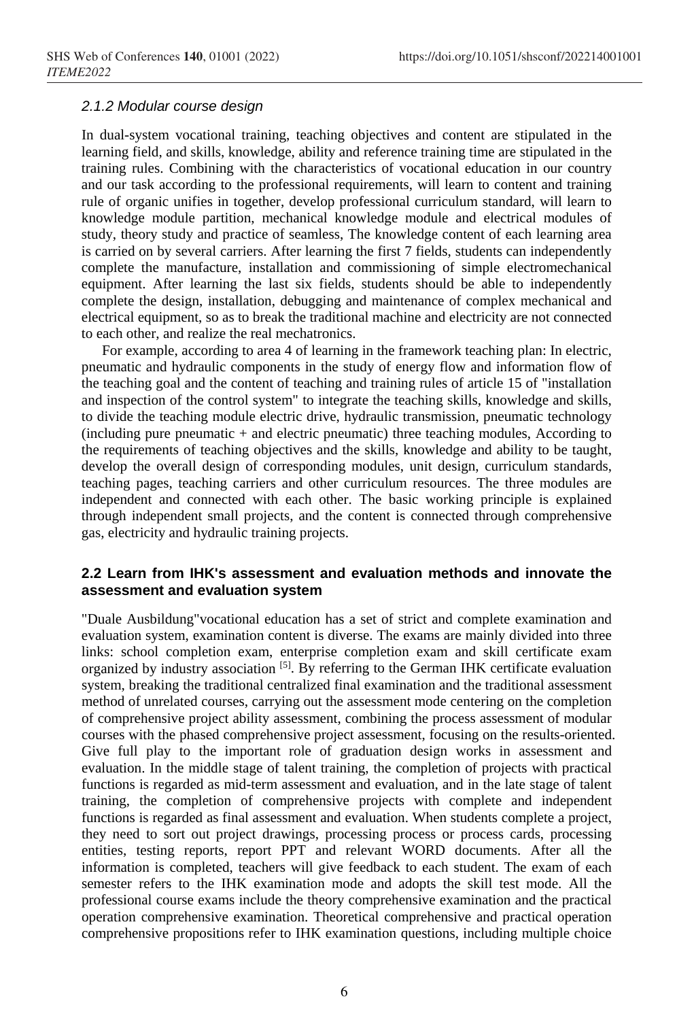#### *2.1.2 Modular course design*

In dual-system vocational training, teaching objectives and content are stipulated in the learning field, and skills, knowledge, ability and reference training time are stipulated in the training rules. Combining with the characteristics of vocational education in our country and our task according to the professional requirements, will learn to content and training rule of organic unifies in together, develop professional curriculum standard, will learn to knowledge module partition, mechanical knowledge module and electrical modules of study, theory study and practice of seamless, The knowledge content of each learning area is carried on by several carriers. After learning the first 7 fields, students can independently complete the manufacture, installation and commissioning of simple electromechanical equipment. After learning the last six fields, students should be able to independently complete the design, installation, debugging and maintenance of complex mechanical and electrical equipment, so as to break the traditional machine and electricity are not connected to each other, and realize the real mechatronics.

For example, according to area 4 of learning in the framework teaching plan: In electric, pneumatic and hydraulic components in the study of energy flow and information flow of the teaching goal and the content of teaching and training rules of article 15 of "installation and inspection of the control system" to integrate the teaching skills, knowledge and skills, to divide the teaching module electric drive, hydraulic transmission, pneumatic technology (including pure pneumatic + and electric pneumatic) three teaching modules, According to the requirements of teaching objectives and the skills, knowledge and ability to be taught, develop the overall design of corresponding modules, unit design, curriculum standards, teaching pages, teaching carriers and other curriculum resources. The three modules are independent and connected with each other. The basic working principle is explained through independent small projects, and the content is connected through comprehensive gas, electricity and hydraulic training projects.

#### **2.2 Learn from IHK's assessment and evaluation methods and innovate the assessment and evaluation system**

"Duale Ausbildung"vocational education has a set of strict and complete examination and evaluation system, examination content is diverse. The exams are mainly divided into three links: school completion exam, enterprise completion exam and skill certificate exam organized by industry association <sup>[5]</sup>. By referring to the German IHK certificate evaluation system, breaking the traditional centralized final examination and the traditional assessment method of unrelated courses, carrying out the assessment mode centering on the completion of comprehensive project ability assessment, combining the process assessment of modular courses with the phased comprehensive project assessment, focusing on the results-oriented. Give full play to the important role of graduation design works in assessment and evaluation. In the middle stage of talent training, the completion of projects with practical functions is regarded as mid-term assessment and evaluation, and in the late stage of talent training, the completion of comprehensive projects with complete and independent functions is regarded as final assessment and evaluation. When students complete a project, they need to sort out project drawings, processing process or process cards, processing entities, testing reports, report PPT and relevant WORD documents. After all the information is completed, teachers will give feedback to each student. The exam of each semester refers to the IHK examination mode and adopts the skill test mode. All the professional course exams include the theory comprehensive examination and the practical operation comprehensive examination. Theoretical comprehensive and practical operation comprehensive propositions refer to IHK examination questions, including multiple choice